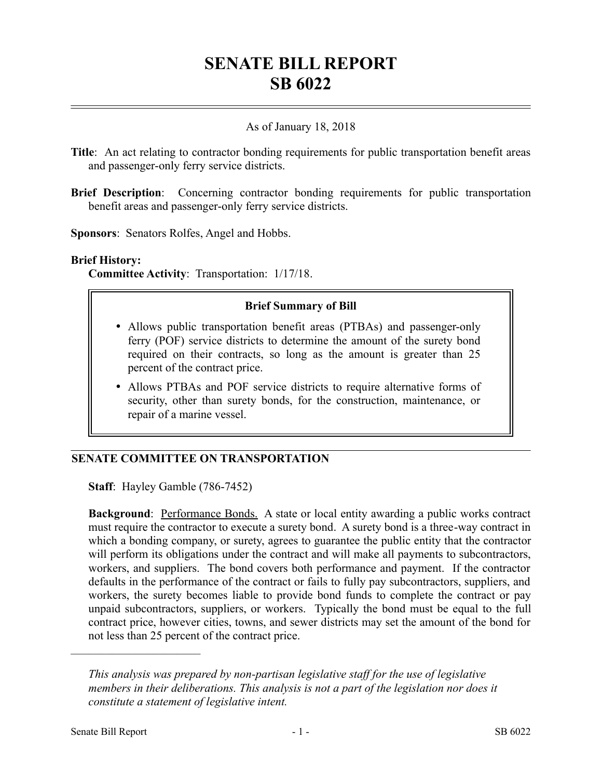# **SENATE BILL REPORT SB 6022**

## As of January 18, 2018

- **Title**: An act relating to contractor bonding requirements for public transportation benefit areas and passenger-only ferry service districts.
- **Brief Description**: Concerning contractor bonding requirements for public transportation benefit areas and passenger-only ferry service districts.

**Sponsors**: Senators Rolfes, Angel and Hobbs.

#### **Brief History:**

**Committee Activity**: Transportation: 1/17/18.

### **Brief Summary of Bill**

- Allows public transportation benefit areas (PTBAs) and passenger-only ferry (POF) service districts to determine the amount of the surety bond required on their contracts, so long as the amount is greater than 25 percent of the contract price.
- Allows PTBAs and POF service districts to require alternative forms of security, other than surety bonds, for the construction, maintenance, or repair of a marine vessel.

## **SENATE COMMITTEE ON TRANSPORTATION**

**Staff**: Hayley Gamble (786-7452)

**Background:** Performance Bonds. A state or local entity awarding a public works contract must require the contractor to execute a surety bond. A surety bond is a three-way contract in which a bonding company, or surety, agrees to guarantee the public entity that the contractor will perform its obligations under the contract and will make all payments to subcontractors, workers, and suppliers. The bond covers both performance and payment. If the contractor defaults in the performance of the contract or fails to fully pay subcontractors, suppliers, and workers, the surety becomes liable to provide bond funds to complete the contract or pay unpaid subcontractors, suppliers, or workers. Typically the bond must be equal to the full contract price, however cities, towns, and sewer districts may set the amount of the bond for not less than 25 percent of the contract price.

––––––––––––––––––––––

*This analysis was prepared by non-partisan legislative staff for the use of legislative members in their deliberations. This analysis is not a part of the legislation nor does it constitute a statement of legislative intent.*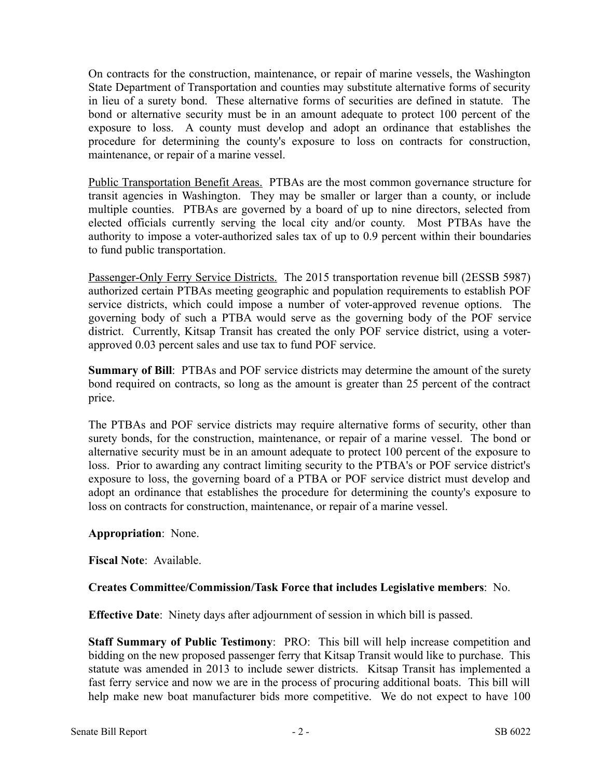On contracts for the construction, maintenance, or repair of marine vessels, the Washington State Department of Transportation and counties may substitute alternative forms of security in lieu of a surety bond. These alternative forms of securities are defined in statute. The bond or alternative security must be in an amount adequate to protect 100 percent of the exposure to loss. A county must develop and adopt an ordinance that establishes the procedure for determining the county's exposure to loss on contracts for construction, maintenance, or repair of a marine vessel.

Public Transportation Benefit Areas. PTBAs are the most common governance structure for transit agencies in Washington. They may be smaller or larger than a county, or include multiple counties. PTBAs are governed by a board of up to nine directors, selected from elected officials currently serving the local city and/or county. Most PTBAs have the authority to impose a voter-authorized sales tax of up to 0.9 percent within their boundaries to fund public transportation.

Passenger-Only Ferry Service Districts. The 2015 transportation revenue bill (2ESSB 5987) authorized certain PTBAs meeting geographic and population requirements to establish POF service districts, which could impose a number of voter-approved revenue options. The governing body of such a PTBA would serve as the governing body of the POF service district. Currently, Kitsap Transit has created the only POF service district, using a voterapproved 0.03 percent sales and use tax to fund POF service.

**Summary of Bill**: PTBAs and POF service districts may determine the amount of the surety bond required on contracts, so long as the amount is greater than 25 percent of the contract price.

The PTBAs and POF service districts may require alternative forms of security, other than surety bonds, for the construction, maintenance, or repair of a marine vessel. The bond or alternative security must be in an amount adequate to protect 100 percent of the exposure to loss. Prior to awarding any contract limiting security to the PTBA's or POF service district's exposure to loss, the governing board of a PTBA or POF service district must develop and adopt an ordinance that establishes the procedure for determining the county's exposure to loss on contracts for construction, maintenance, or repair of a marine vessel.

## **Appropriation**: None.

**Fiscal Note**: Available.

## **Creates Committee/Commission/Task Force that includes Legislative members**: No.

**Effective Date**: Ninety days after adjournment of session in which bill is passed.

**Staff Summary of Public Testimony**: PRO: This bill will help increase competition and bidding on the new proposed passenger ferry that Kitsap Transit would like to purchase. This statute was amended in 2013 to include sewer districts. Kitsap Transit has implemented a fast ferry service and now we are in the process of procuring additional boats. This bill will help make new boat manufacturer bids more competitive. We do not expect to have 100